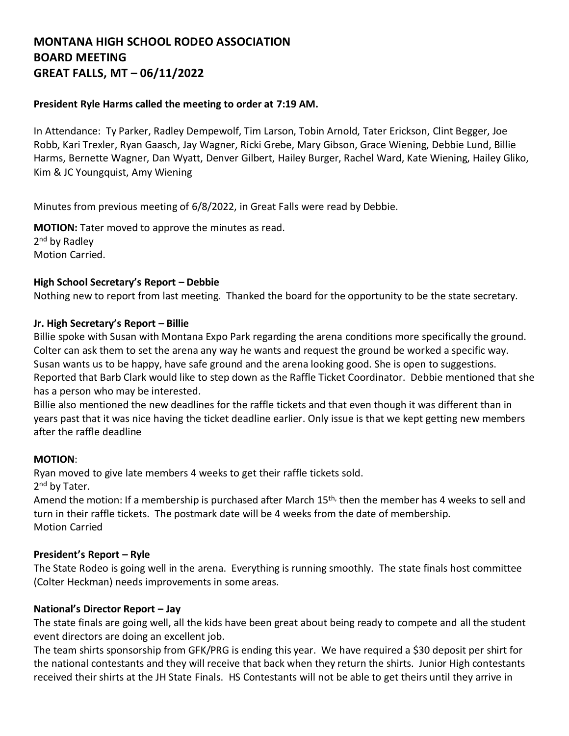# **MONTANA HIGH SCHOOL RODEO ASSOCIATION BOARD MEETING GREAT FALLS, MT – 06/11/2022**

# **President Ryle Harms called the meeting to order at 7:19 AM.**

In Attendance: Ty Parker, Radley Dempewolf, Tim Larson, Tobin Arnold, Tater Erickson, Clint Begger, Joe Robb, Kari Trexler, Ryan Gaasch, Jay Wagner, Ricki Grebe, Mary Gibson, Grace Wiening, Debbie Lund, Billie Harms, Bernette Wagner, Dan Wyatt, Denver Gilbert, Hailey Burger, Rachel Ward, Kate Wiening, Hailey Gliko, Kim & JC Youngquist, Amy Wiening

Minutes from previous meeting of 6/8/2022, in Great Falls were read by Debbie.

**MOTION:** Tater moved to approve the minutes as read. 2<sup>nd</sup> by Radley Motion Carried.

# **High School Secretary's Report – Debbie**

Nothing new to report from last meeting. Thanked the board for the opportunity to be the state secretary.

# **Jr. High Secretary's Report – Billie**

Billie spoke with Susan with Montana Expo Park regarding the arena conditions more specifically the ground. Colter can ask them to set the arena any way he wants and request the ground be worked a specific way. Susan wants us to be happy, have safe ground and the arena looking good. She is open to suggestions. Reported that Barb Clark would like to step down as the Raffle Ticket Coordinator. Debbie mentioned that she has a person who may be interested.

Billie also mentioned the new deadlines for the raffle tickets and that even though it was different than in years past that it was nice having the ticket deadline earlier. Only issue is that we kept getting new members after the raffle deadline

### **MOTION**:

Ryan moved to give late members 4 weeks to get their raffle tickets sold. 2<sup>nd</sup> by Tater.

Amend the motion: If a membership is purchased after March 15<sup>th,</sup> then the member has 4 weeks to sell and turn in their raffle tickets. The postmark date will be 4 weeks from the date of membership. Motion Carried

### **President's Report – Ryle**

The State Rodeo is going well in the arena. Everything is running smoothly. The state finals host committee (Colter Heckman) needs improvements in some areas.

### **National's Director Report – Jay**

The state finals are going well, all the kids have been great about being ready to compete and all the student event directors are doing an excellent job.

The team shirts sponsorship from GFK/PRG is ending this year. We have required a \$30 deposit per shirt for the national contestants and they will receive that back when they return the shirts. Junior High contestants received their shirts at the JH State Finals. HS Contestants will not be able to get theirs until they arrive in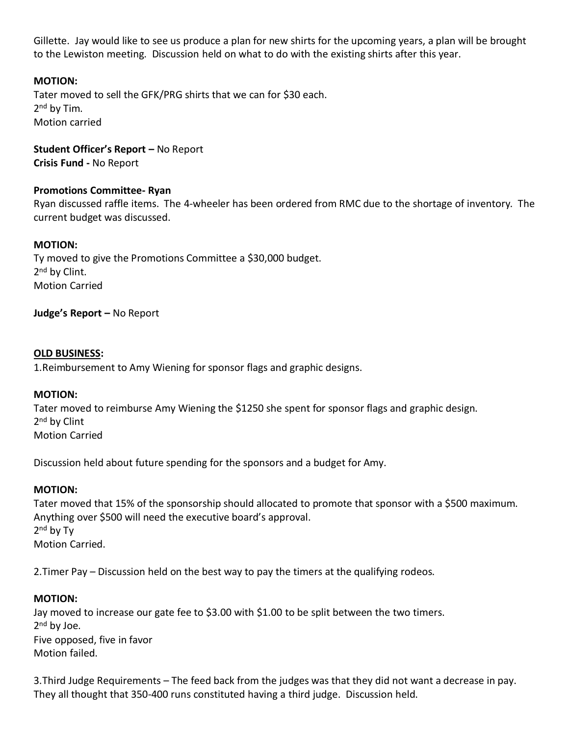Gillette. Jay would like to see us produce a plan for new shirts for the upcoming years, a plan will be brought to the Lewiston meeting. Discussion held on what to do with the existing shirts after this year.

# **MOTION:**

Tater moved to sell the GFK/PRG shirts that we can for \$30 each. 2<sup>nd</sup> by Tim. Motion carried

**Student Officer's Report –** No Report **Crisis Fund -** No Report

### **Promotions Committee- Ryan**

Ryan discussed raffle items. The 4-wheeler has been ordered from RMC due to the shortage of inventory. The current budget was discussed.

### **MOTION:**

Ty moved to give the Promotions Committee a \$30,000 budget. 2<sup>nd</sup> by Clint. Motion Carried

**Judge's Report –** No Report

### **OLD BUSINESS:**

1.Reimbursement to Amy Wiening for sponsor flags and graphic designs.

### **MOTION:**

Tater moved to reimburse Amy Wiening the \$1250 she spent for sponsor flags and graphic design. 2<sup>nd</sup> by Clint Motion Carried

Discussion held about future spending for the sponsors and a budget for Amy.

# **MOTION:**

Tater moved that 15% of the sponsorship should allocated to promote that sponsor with a \$500 maximum. Anything over \$500 will need the executive board's approval. 2<sup>nd</sup> by Ty Motion Carried.

2.Timer Pay – Discussion held on the best way to pay the timers at the qualifying rodeos.

# **MOTION:**

Jay moved to increase our gate fee to \$3.00 with \$1.00 to be split between the two timers. 2<sup>nd</sup> by Joe. Five opposed, five in favor Motion failed.

3.Third Judge Requirements – The feed back from the judges was that they did not want a decrease in pay. They all thought that 350-400 runs constituted having a third judge. Discussion held.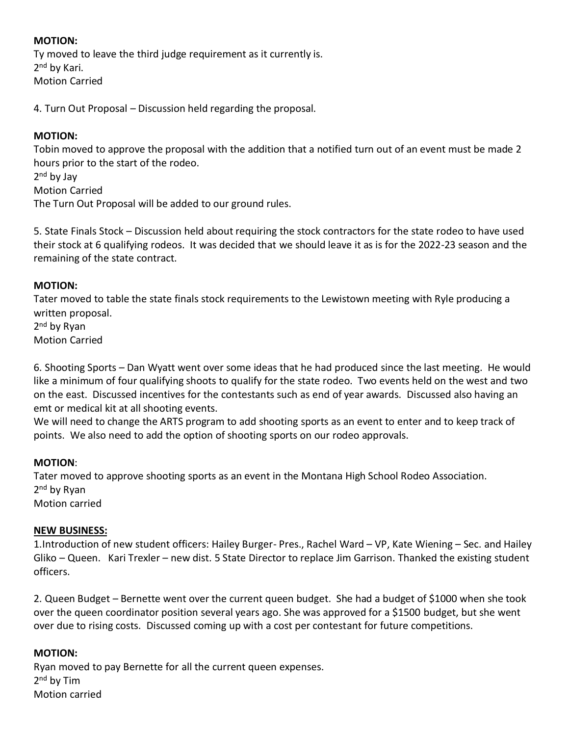# **MOTION:**

Ty moved to leave the third judge requirement as it currently is. 2<sup>nd</sup> by Kari. Motion Carried

4. Turn Out Proposal – Discussion held regarding the proposal.

# **MOTION:**

Tobin moved to approve the proposal with the addition that a notified turn out of an event must be made 2 hours prior to the start of the rodeo.

2<sup>nd</sup> by Jay Motion Carried The Turn Out Proposal will be added to our ground rules.

5. State Finals Stock – Discussion held about requiring the stock contractors for the state rodeo to have used their stock at 6 qualifying rodeos. It was decided that we should leave it as is for the 2022-23 season and the remaining of the state contract.

### **MOTION:**

Tater moved to table the state finals stock requirements to the Lewistown meeting with Ryle producing a written proposal.

2<sup>nd</sup> by Ryan Motion Carried

6. Shooting Sports – Dan Wyatt went over some ideas that he had produced since the last meeting. He would like a minimum of four qualifying shoots to qualify for the state rodeo. Two events held on the west and two on the east. Discussed incentives for the contestants such as end of year awards. Discussed also having an emt or medical kit at all shooting events.

We will need to change the ARTS program to add shooting sports as an event to enter and to keep track of points. We also need to add the option of shooting sports on our rodeo approvals.

### **MOTION**:

Tater moved to approve shooting sports as an event in the Montana High School Rodeo Association. 2<sup>nd</sup> by Ryan Motion carried

### **NEW BUSINESS:**

1.Introduction of new student officers: Hailey Burger- Pres., Rachel Ward – VP, Kate Wiening – Sec. and Hailey Gliko – Queen. Kari Trexler – new dist. 5 State Director to replace Jim Garrison. Thanked the existing student officers.

2. Queen Budget – Bernette went over the current queen budget. She had a budget of \$1000 when she took over the queen coordinator position several years ago. She was approved for a \$1500 budget, but she went over due to rising costs. Discussed coming up with a cost per contestant for future competitions.

### **MOTION:**

Ryan moved to pay Bernette for all the current queen expenses. 2<sup>nd</sup> by Tim Motion carried